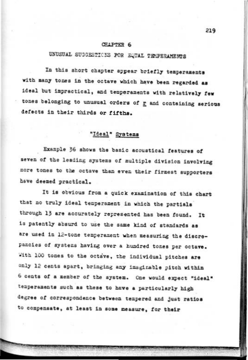### CHAPTER 6

# UNUSUAL SUGGESTIONS FOR EQUAL TEMPERAMENTS

In this short chapter appear briefly temperaments with many tones in the octave which have been regarded as ideal but impractical, and temperaments with relatively few tones belonging to unusual orders of r and containing serious defects in their thirds or fifths.

## "Ideal" Systems

Example 36 shows the basic acoustical features of seven of the leading systems of multiple division involving more tones to the octave than even their firmest supporters have deemed practical.

It is obvious from a quick examination of this chart that no truly ideal temperament in which the partials through 13 are accurately represented has been found. It is patently absurd to use the same kind of standards as are used in 12-tone temperament when measuring the discrepancies of systems having over a hundred tones per octave. With 100 tones to the octave, the individual pitches are only 12 cents apart, bringing any imaginable pitch within 6 cents of a member of the system. One would expect "ideal" temperaments such as these to have a particularly high degree of correspondence between tempered and just ratios to compensate, at least in some measure, for their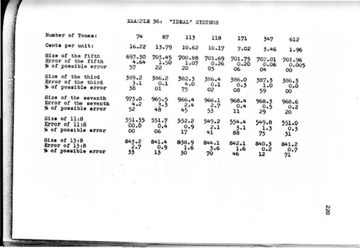EXAMPLE 36: "IDEAL" SYSTEMS

| Number of Tones:     | 74     | 87     | 113    | 118    | 171    | 347    | 612    |
|----------------------|--------|--------|--------|--------|--------|--------|--------|
| Cents per unit:      | 16.22  | 13.79  | 10.62  | 10.17  | 7.02   | 3.46   | 1.96   |
| Size of the fifth    | 697.30 | 703.45 | 700.88 | 701.69 | 701.75 | 702.01 | 701.96 |
| Error of the fifth   | 4.64   | 1.50   | 1.07   | 0.26   | 0.20   | 0.06   | 0.005  |
| % of possible error  | 57     | 22     | 20     | 05     | 06     | 04     | oo.    |
| Size of the third    | 389.2  | 386.2  | 382.3  | 386.4  | 386.0  | 387.3  | 386.3  |
| Error of the third   | 3.1    | 0.1    | 4.0    | 0.1    | 0.3    | 1.0    | 0.0    |
| % of possible error  | 38     | 01     | 75     | 95     | 08     | 59     | œ      |
| Size of the seventh  | 973.0. | 965.5  | 966.4  | 966.1  | 968.4  | 968.3  | 968.6  |
| Error of the seventh | 4.2    | 3.3    | 2.4    | 2.7    | 0.4    | 0.5    | 0.2    |
| % of possible error  | 52     | 48     | 45     | 53     | 11     | 29     | 20     |
| Size of 11:8         | 551.35 | 551.7  | 552.2  | 549.2  | 554.4  | 549.8  | 551.0  |
| Error of 11:8        | 00.0   | 0.4    | 0.9    | 2.1    | 3.1    | 1.3    | 0.3    |
| % of possible error  | oo.    | 06     | 17     | 41     | 88     | 75     | 31     |
| Size of 13:8         | 843.2  | 841.4  | 838.9  | 844.1  | 842.1  | 840.3  | 841.2  |
| Error of 13:8        | 2.7    | 0.9    | 1.6    | 3.6    | 1.6    | 0.2    | 0.7    |
| % of possible error  | 33     | 13     | 30     | 70     | 46     | 12     | 21     |

**oss**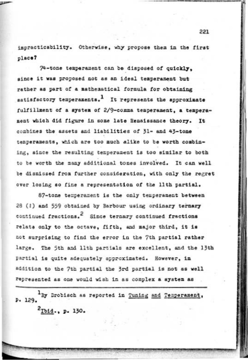impracticability. Otherwise, why propose them in the first place?

us

74-tone temperament can be disposed of quickly. since it was proposed not as an ideal temperament but rather as part of a mathematical formula for obtaining satisfactory temperaments.<sup>1</sup> It represents the approximate fulfillment of a system of 2/9-comma temperament, a temperament which did figure in some late Renaissance theory. It combines the assets and liabilities of 31- and 43-tone temperaments, which are too much alike to be worth combining, since the resulting temperament is too similar to both to be worth the many additional tones involved. It can well be dismissed from further consideration, with only the regret over losing so fine a representation of the lith partial.

87-tone temperament is the only temperament between 28 (1) and 559 obtained by Barbour using ordinary ternary continued fractions.<sup>2</sup> Since ternary continued fractions relate only to the octave, fifth, and major third, it is not surprising to find the error in the 7th partial rather large. The 5th and 11th partials are excellent, and the 13th partial is quite adequately approximated. However, in addition to the 7th partial the 3rd partial is not as well represented as one would wish in as complex a system as

<sup>1</sup>By Drobisch as reported in Tuning and Temperament, p. 129.

2Tbid., p. 130.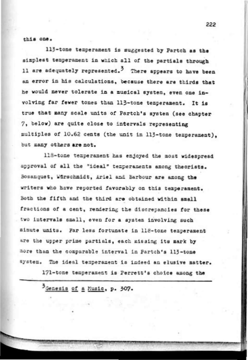### this one.

113-tone temperament is suggested by Partch as the simplest temperament in which all of the partials through 11 are adequately represented.<sup>3</sup> There appears to have been an error in his calculations, because there are thirds that he would never tolerate in a musical system, even one involving far fewer tones than 113-tone temperament. It is true that many scale units of Partch's system (see chapter 7. below) are quite close to intervals representing multiples of 10.62 cents (the unit in 113-tone temperament). but many others are not.

118-tone temperament has enjoyed the most widespread approval of all the "ideal" temperaments among theorists. Bosanquet, Wirschmidt, Ariel and Barbour are among the writers who have reported favorably on this temperament. Both the fifth and the third are obtained within small fractions of a cent, rendering the discrepancies for these two intervals small, even for a system involving such minute units. Far less fortunate in 118-tone temperament are the upper prime partials, each missing its mark by nore than the comparable interval in Partch's 113-tone system. The ideal temperament is indeed an elusive matter.

171-tone temperament is Perrett's choice among the

3 Genesis of a Music, p. 307.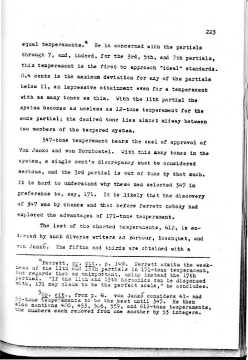equal temperaments.<sup>4</sup> He is concerned with the partials through 7, and, indeed, for the 3rd, 5th, and 7th partials. this temperament is the first to approach "ideal" standards. 0.4 cents is the maximum deviation for any of the partials below 11, an impressive attainment even for a temperament with as many tones as this. With the lith partial the system becomes as useless as 12-tone temperament for the same partial; the desired tone lies almost midway between two members of the tempered system.

347-tone temperament bears the seal of approval of Von Janko and von Hornbostel. With this many tones in the system, a single cent's discrepancy must be considered serious, and the 3rd partial is out of tune by that much. It is hard to understand why these men selected 347 in preference to, say, 171. It is likely that the discovery of 347 was by chance and that before Perrett nobody had explored the advantages of 171-tone temperament.

The last of the charted temperaments, 612, is endorsed by such diverse writers as Barbour, Bosanquet, and von Janko. The fifths and thirds are obtained with a

"Perrett, op. cit., p. 149. Ferrett admits the weak-<br>ness of the lith and 13th partials in 171-tone temperament, but regards them as unimportant, using instead the 17th partial. "If the lith and 13th harmonics can be dispensed with, 171 may claim to be the perfect scale," he concludes.

5<sub>Op.</sub> cit., from p. 6. von Janko considers 41- and 55-tone temperaments to be the best until 347. He then also mentions 400, 453, 506, 559, and 612-tone temperaments. the numbers each removed from one another by 53 integers.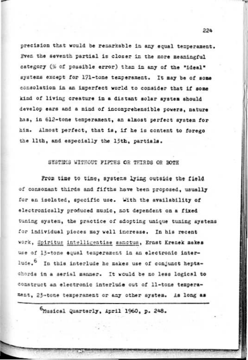precision that would be remarkable in any equal temperament. Even the seventh partial is closer in the more meaningful category (% of possible error) than in any of the "ideal" systems except for 171-tone temperament. It may be of some consolation in an imperfect world to consider that if some kind of living creature in a distant solar system should develop ears and a mind of incomprehensible powers, nature has, in 612-tone temperament, an almost perfect system for him. Almost perfect, that is, if he is content to forego the llth, and especially the loth, partials.

### SYSTEMS WITHOUT FIFTES OR THIRDS OR BOTH

Prom time to time, systems lying outside the field of consonant thirds and fifths have been proposed, usually for an isolated, specific use. With the availability of electronically produced music, not dependent on a fixed tuning system, the practice of adopting unique tuning systems for individual pieces may well increase. In his recent work, Spiritus intelligentiae sanctus, Ernst Krenek makes use of 13-tone equal temperament in an electronic interlude.<sup>6</sup> In this interlude he makes use of conjunct heptachords in a serial manner. It would be no less logical to construct an electronic interluie out of ll-tone temperament, 23-tone temperament or any other system. As long as

SMusical Quarterly, April 1960, p. 248.